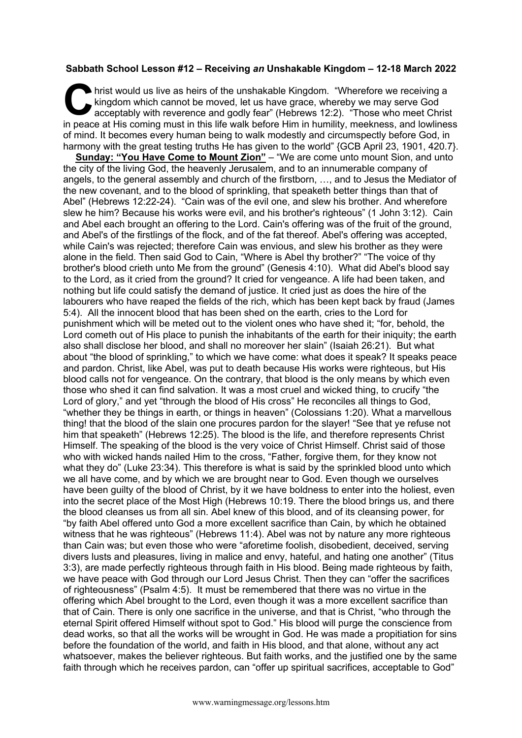## **Sabbath School Lesson #12 – Receiving** *an* **Unshakable Kingdom – 12-18 March 2022**

hrist would us live as heirs of the unshakable Kingdom. "Wherefore we receiving a kingdom which cannot be moved, let us have grace, whereby we may serve God acceptably with reverence and godly fear" (Hebrews 12:2). "Those who meet Christ in peace at His coming must in this life walk before Him in humility, meekness, and lowliness of mind. It becomes every human being to walk modestly and circumspectly before God, in harmony with the great testing truths He has given to the world" {GCB April 23, 1901, 420.7}. C kin

**Sunday: "You Have Come to Mount Zion"** – "We are come unto mount Sion, and unto the city of the living God, the heavenly Jerusalem, and to an innumerable company of angels, to the general assembly and church of the firstborn, …, and to Jesus the Mediator of the new covenant, and to the blood of sprinkling, that speaketh better things than that of Abel" (Hebrews 12:22-24). "Cain was of the evil one, and slew his brother. And wherefore slew he him? Because his works were evil, and his brother's righteous" (1 John 3:12). Cain and Abel each brought an offering to the Lord. Cain's offering was of the fruit of the ground, and Abel's of the firstlings of the flock, and of the fat thereof. Abel's offering was accepted, while Cain's was rejected; therefore Cain was envious, and slew his brother as they were alone in the field. Then said God to Cain, "Where is Abel thy brother?" "The voice of thy brother's blood crieth unto Me from the ground" (Genesis 4:10). What did Abel's blood say to the Lord, as it cried from the ground? It cried for vengeance. A life had been taken, and nothing but life could satisfy the demand of justice. It cried just as does the hire of the labourers who have reaped the fields of the rich, which has been kept back by fraud (James 5:4). All the innocent blood that has been shed on the earth, cries to the Lord for punishment which will be meted out to the violent ones who have shed it; "for, behold, the Lord cometh out of His place to punish the inhabitants of the earth for their iniquity; the earth also shall disclose her blood, and shall no moreover her slain" (Isaiah 26:21). But what about "the blood of sprinkling," to which we have come: what does it speak? It speaks peace and pardon. Christ, like Abel, was put to death because His works were righteous, but His blood calls not for vengeance. On the contrary, that blood is the only means by which even those who shed it can find salvation. It was a most cruel and wicked thing, to crucify "the Lord of glory," and yet "through the blood of His cross" He reconciles all things to God, "whether they be things in earth, or things in heaven" (Colossians 1:20). What a marvellous thing! that the blood of the slain one procures pardon for the slayer! "See that ye refuse not him that speaketh" (Hebrews 12:25). The blood is the life, and therefore represents Christ Himself. The speaking of the blood is the very voice of Christ Himself. Christ said of those who with wicked hands nailed Him to the cross, "Father, forgive them, for they know not what they do" (Luke 23:34). This therefore is what is said by the sprinkled blood unto which we all have come, and by which we are brought near to God. Even though we ourselves have been guilty of the blood of Christ, by it we have boldness to enter into the holiest, even into the secret place of the Most High (Hebrews 10:19. There the blood brings us, and there the blood cleanses us from all sin. Abel knew of this blood, and of its cleansing power, for "by faith Abel offered unto God a more excellent sacrifice than Cain, by which he obtained witness that he was righteous" (Hebrews 11:4). Abel was not by nature any more righteous than Cain was; but even those who were "aforetime foolish, disobedient, deceived, serving divers lusts and pleasures, living in malice and envy, hateful, and hating one another" (Titus 3:3), are made perfectly righteous through faith in His blood. Being made righteous by faith, we have peace with God through our Lord Jesus Christ. Then they can "offer the sacrifices of righteousness" (Psalm 4:5). It must be remembered that there was no virtue in the offering which Abel brought to the Lord, even though it was a more excellent sacrifice than that of Cain. There is only one sacrifice in the universe, and that is Christ, "who through the eternal Spirit offered Himself without spot to God." His blood will purge the conscience from dead works, so that all the works will be wrought in God. He was made a propitiation for sins before the foundation of the world, and faith in His blood, and that alone, without any act whatsoever, makes the believer righteous. But faith works, and the justified one by the same faith through which he receives pardon, can "offer up spiritual sacrifices, acceptable to God"